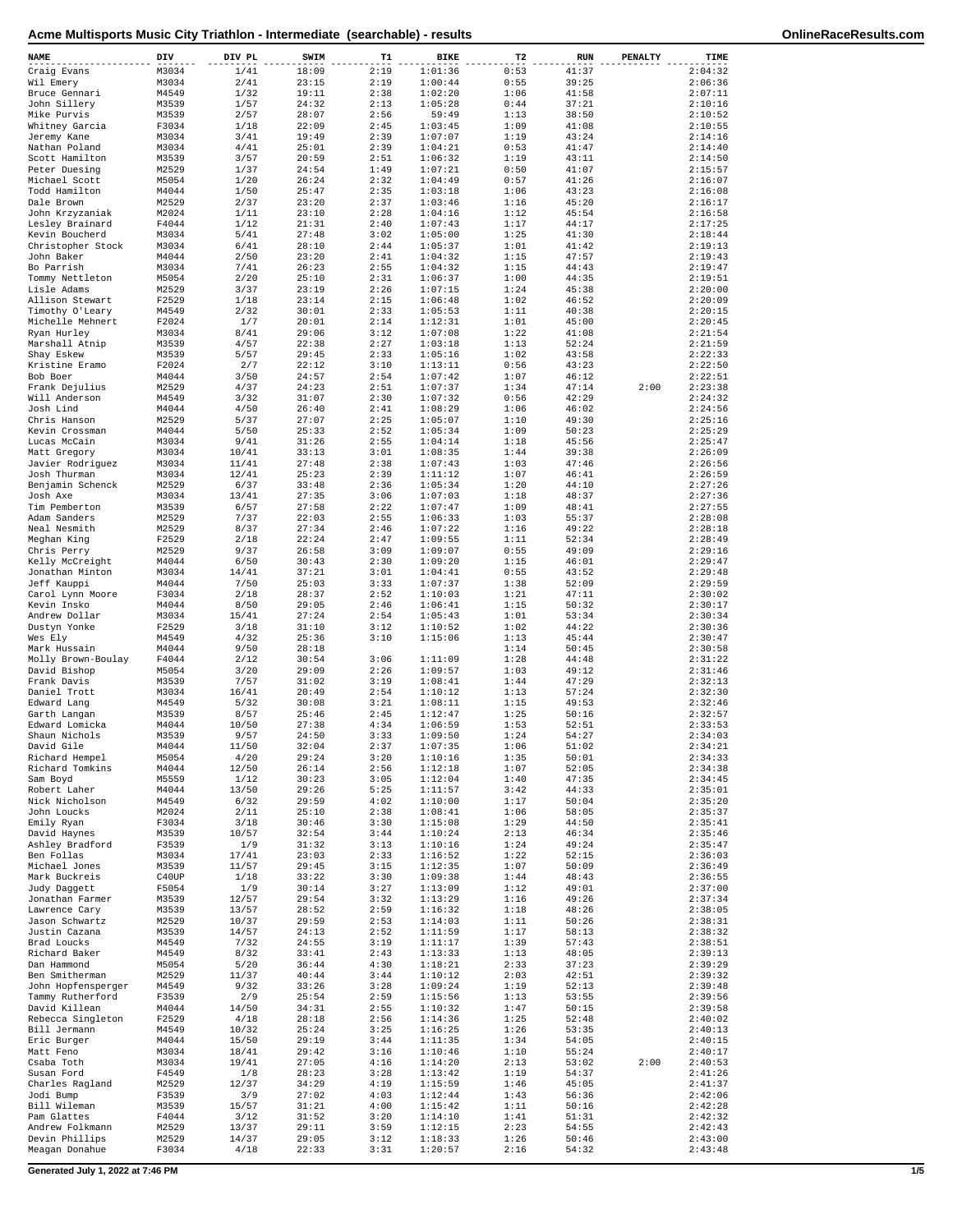| NAME                               | DIV            | DIV PL        | SWIM           | T1           | BIKE               | T2           | <b>RUN</b>     | <b>PENALTY</b> | TIME               |
|------------------------------------|----------------|---------------|----------------|--------------|--------------------|--------------|----------------|----------------|--------------------|
| Craig Evans                        | M3034          | 1/41          | 18:09          | 2:19         | 1:01:36            | 0:53         | 41:37          |                | 2:04:32            |
| Wil Emery                          | M3034          | 2/41          | 23:15          | 2:19         | 1:00:44            | 0:55         | 39:25          |                | 2:06:36            |
| Bruce Gennari<br>John Sillery      | M4549<br>M3539 | 1/32<br>1/57  | 19:11<br>24:32 | 2:38<br>2:13 | 1:02:20<br>1:05:28 | 1:06<br>0:44 | 41:58<br>37:21 |                | 2:07:11<br>2:10:16 |
| Mike Purvis                        | M3539          | 2/57          | 28:07          | 2:56         | 59:49              | 1:13         | 38:50          |                | 2:10:52            |
| Whitney Garcia                     | F3034          | 1/18          | 22:09          | 2:45         | 1:03:45            | 1:09         | 41:08          |                | 2:10:55            |
| Jeremy Kane                        | M3034          | 3/41          | 19:49          | 2:39         | 1:07:07            | 1:19         | 43:24          |                | 2:14:16            |
| Nathan Poland                      | M3034          | 4/41          | 25:01<br>20:59 | 2:39<br>2:51 | 1:04:21            | 0:53         | 41:47<br>43:11 |                | 2:14:40            |
| Scott Hamilton<br>Peter Duesing    | M3539<br>M2529 | 3/57<br>1/37  | 24:54          | 1:49         | 1:06:32<br>1:07:21 | 1:19<br>0:50 | 41:07          |                | 2:14:50<br>2:15:57 |
| Michael Scott                      | M5054          | 1/20          | 26:24          | 2:32         | 1:04:49            | 0:57         | 41:26          |                | 2:16:07            |
| Todd Hamilton                      | M4044          | 1/50          | 25:47          | 2:35         | 1:03:18            | 1:06         | 43:23          |                | 2:16:08            |
| Dale Brown                         | M2529          | 2/37          | 23:20          | 2:37         | 1:03:46            | 1:16         | 45:20          |                | 2:16:17            |
| John Krzyzaniak<br>Lesley Brainard | M2024<br>F4044 | 1/11<br>1/12  | 23:10<br>21:31 | 2:28<br>2:40 | 1:04:16<br>1:07:43 | 1:12<br>1:17 | 45:54<br>44:17 |                | 2:16:58<br>2:17:25 |
| Kevin Boucherd                     | M3034          | 5/41          | 27:48          | 3:02         | 1:05:00            | 1:25         | 41:30          |                | 2:18:44            |
| Christopher Stock                  | M3034          | 6/41          | 28:10          | 2:44         | 1:05:37            | 1:01         | 41:42          |                | 2:19:13            |
| John Baker                         | M4044          | 2/50          | 23:20          | 2:41         | 1:04:32            | 1:15         | 47:57          |                | 2:19:43            |
| Bo Parrish                         | M3034          | 7/41          | 26:23          | 2:55         | 1:04:32            | 1:15         | 44:43          |                | 2:19:47            |
| Tommy Nettleton<br>Lisle Adams     | M5054<br>M2529 | 2/20<br>3/37  | 25:10<br>23:19 | 2:31<br>2:26 | 1:06:37<br>1:07:15 | 1:00<br>1:24 | 44:35<br>45:38 |                | 2:19:51<br>2:20:00 |
| Allison Stewart                    | F2529          | 1/18          | 23:14          | 2:15         | 1:06:48            | 1:02         | 46:52          |                | 2:20:09            |
| Timothy O'Leary                    | M4549          | 2/32          | 30:01          | 2:33         | 1:05:53            | 1:11         | 40:38          |                | 2:20:15            |
| Michelle Mehnert                   | F2024          | 1/7           | 20:01          | 2:14         | 1:12:31            | 1:01         | 45:00          |                | 2:20:45            |
| Ryan Hurley                        | M3034<br>M3539 | 8/41<br>4/57  | 29:06<br>22:38 | 3:12<br>2:27 | 1:07:08<br>1:03:18 | 1:22<br>1:13 | 41:08<br>52:24 |                | 2:21:54<br>2:21:59 |
| Marshall Atnip<br>Shay Eskew       | M3539          | 5/57          | 29:45          | 2:33         | 1:05:16            | 1:02         | 43:58          |                | 2:22:33            |
| Kristine Eramo                     | F2024          | 2/7           | 22:12          | 3:10         | 1:13:11            | 0:56         | 43:23          |                | 2:22:50            |
| Bob Boer                           | M4044          | 3/50          | 24:57          | 2:54         | 1:07:42            | 1:07         | 46:12          |                | 2:22:51            |
| Frank Dejulius                     | M2529          | 4/37          | 24:23          | 2:51         | 1:07:37            | 1:34         | 47:14          | 2:00           | 2:23:38            |
| Will Anderson<br>Josh Lind         | M4549<br>M4044 | 3/32<br>4/50  | 31:07<br>26:40 | 2:30<br>2:41 | 1:07:32<br>1:08:29 | 0:56<br>1:06 | 42:29<br>46:02 |                | 2:24:32<br>2:24:56 |
| Chris Hanson                       | M2529          | 5/37          | 27:07          | 2:25         | 1:05:07            | 1:10         | 49:30          |                | 2:25:16            |
| Kevin Crossman                     | M4044          | 5/50          | 25:33          | 2:52         | 1:05:34            | 1:09         | 50:23          |                | 2:25:29            |
| Lucas McCain                       | M3034          | 9/41          | 31:26          | 2:55         | 1:04:14            | 1:18         | 45:56          |                | 2:25:47            |
| Matt Gregory                       | M3034          | 10/41         | 33:13          | 3:01         | 1:08:35            | 1:44         | 39:38          |                | 2:26:09            |
| Javier Rodriquez<br>Josh Thurman   | M3034          | 11/41         | 27:48          | 2:38<br>2:39 | 1:07:43<br>1:11:12 | 1:03<br>1:07 | 47:46<br>46:41 |                | 2:26:56            |
| Benjamin Schenck                   | M3034<br>M2529 | 12/41<br>6/37 | 25:23<br>33:48 | 2:36         | 1:05:34            | 1:20         | 44:10          |                | 2:26:59<br>2:27:26 |
| Josh Axe                           | M3034          | 13/41         | 27:35          | 3:06         | 1:07:03            | 1:18         | 48:37          |                | 2:27:36            |
| Tim Pemberton                      | M3539          | 6/57          | 27:58          | 2:22         | 1:07:47            | 1:09         | 48:41          |                | 2:27:55            |
| Adam Sanders                       | M2529          | 7/37          | 22:03          | 2:55         | 1:06:33            | 1:03         | 55:37          |                | 2:28:08            |
| Neal Nesmith                       | M2529          | 8/37          | 27:34          | 2:46         | 1:07:22            | 1:16         | 49:22          |                | 2:28:18            |
| Meghan King<br>Chris Perry         | F2529<br>M2529 | 2/18<br>9/37  | 22:24<br>26:58 | 2:47<br>3:09 | 1:09:55<br>1:09:07 | 1:11<br>0:55 | 52:34<br>49:09 |                | 2:28:49<br>2:29:16 |
| Kelly McCreight                    | M4044          | 6/50          | 30:43          | 2:30         | 1:09:20            | 1:15         | 46:01          |                | 2:29:47            |
| Jonathan Minton                    | M3034          | 14/41         | 37:21          | 3:01         | 1:04:41            | 0:55         | 43:52          |                | 2:29:48            |
| Jeff Kauppi                        | M4044          | 7/50          | 25:03          | 3:33         | 1:07:37            | 1:38         | 52:09          |                | 2:29:59            |
| Carol Lynn Moore                   | F3034          | 2/18          | 28:37          | 2:52         | 1:10:03            | 1:21         | 47:11          |                | 2:30:02            |
| Kevin Insko<br>Andrew Dollar       | M4044<br>M3034 | 8/50<br>15/41 | 29:05<br>27:24 | 2:46<br>2:54 | 1:06:41<br>1:05:43 | 1:15<br>1:01 | 50:32<br>53:34 |                | 2:30:17<br>2:30:34 |
| Dustyn Yonke                       | F2529          | 3/18          | 31:10          | 3:12         | 1:10:52            | 1:02         | 44:22          |                | 2:30:36            |
| Wes Ely                            | M4549          | 4/32          | 25:36          | 3:10         | 1:15:06            | 1:13         | 45:44          |                | 2:30:47            |
| Mark Hussain                       | M4044          | 9/50          | 28:18          |              |                    | 1:14         | 50:45          |                | 2:30:58            |
| Molly Brown-Boulay                 | F4044          | 2/12          | 30:54          | 3:06         | 1:11:09            | 1:28         | 44:48          |                | 2:31:22            |
| David Bishop<br>Frank Davis        | M5054<br>M3539 | 3/20<br>7/57  | 29:09<br>31:02 | 2:26<br>3:19 | 1:09:57<br>1:08:41 | 1:03<br>1:44 | 49:12<br>47:29 |                | 2:31:46<br>2:32:13 |
| Daniel Trott                       | M3034          | 16/41         | 20:49          | 2:54         | 1:10:12            | 1:13         | 57:24          |                | 2:32:30            |
| Edward Lang                        | M4549          | 5/32          | 30:08          | 3:21         | 1:08:11            | 1:15         | 49:53          |                | 2:32:46            |
| Garth Langan                       | M3539          | 8/57          | 25:46          | 2:45         | 1:12:47            | 1:25         | 50:16          |                | 2:32:57            |
| Edward Lomicka                     | M4044          | 10/50         | 27:38          | 4:34         | 1:06:59            | 1:53         | 52:51          |                | 2:33:53            |
| Shaun Nichols<br>David Gile        | M3539<br>M4044 | 9/57<br>11/50 | 24:50<br>32:04 | 3:33<br>2:37 | 1:09:50<br>1:07:35 | 1:24<br>1:06 | 54:27<br>51:02 |                | 2:34:03<br>2:34:21 |
| Richard Hempel                     | M5054          | 4/20          | 29:24          | 3:20         | 1:10:16            | 1:35         | 50:01          |                | 2:34:33            |
| Richard Tomkins                    | M4044          | 12/50         | 26:14          | 2:56         | 1:12:18            | 1:07         | 52:05          |                | 2:34:38            |
| Sam Boyd                           | M5559          | 1/12          | 30:23          | 3:05         | 1:12:04            | 1:40         | 47:35          |                | 2:34:45            |
| Robert Laher                       | M4044          | 13/50         | 29:26          | 5:25         | 1:11:57            | 3:42         | 44:33          |                | 2:35:01            |
| Nick Nicholson<br>John Loucks      | M4549<br>M2024 | 6/32<br>2/11  | 29:59<br>25:10 | 4:02<br>2:38 | 1:10:00<br>1:08:41 | 1:17<br>1:06 | 50:04<br>58:05 |                | 2:35:20<br>2:35:37 |
| Emily Ryan                         | F3034          | 3/18          | 30:46          | 3:30         | 1:15:08            | 1:29         | 44:50          |                | 2:35:41            |
| David Haynes                       | M3539          | 10/57         | 32:54          | 3:44         | 1:10:24            | 2:13         | 46:34          |                | 2:35:46            |
| Ashley Bradford                    | F3539          | 1/9           | 31:32          | 3:13         | 1:10:16            | 1:24         | 49:24          |                | 2:35:47            |
| Ben Follas                         | M3034          | 17/41         | 23:03          | 2:33         | 1:16:52            | 1:22         | 52:15          |                | 2:36:03            |
| Michael Jones<br>Mark Buckreis     | M3539<br>C40UP | 11/57<br>1/18 | 29:45<br>33:22 | 3:15<br>3:30 | 1:12:35<br>1:09:38 | 1:07<br>1:44 | 50:09<br>48:43 |                | 2:36:49<br>2:36:55 |
| Judy Daggett                       | F5054          | 1/9           | 30:14          | 3:27         | 1:13:09            | 1:12         | 49:01          |                | 2:37:00            |
| Jonathan Farmer                    | M3539          | 12/57         | 29:54          | 3:32         | 1:13:29            | 1:16         | 49:26          |                | 2:37:34            |
| Lawrence Cary                      | M3539          | 13/57         | 28:52          | 2:59         | 1:16:32            | 1:18         | 48:26          |                | 2:38:05            |
| Jason Schwartz                     | M2529          | 10/37         | 29:59          | 2:53         | 1:14:03            | 1:11         | 50:26          |                | 2:38:31            |
| Justin Cazana                      | M3539<br>M4549 | 14/57<br>7/32 | 24:13<br>24:55 | 2:52<br>3:19 | 1:11:59<br>1:11:17 | 1:17<br>1:39 | 58:13          |                | 2:38:32<br>2:38:51 |
| Brad Loucks<br>Richard Baker       | M4549          | 8/32          | 33:41          | 2:43         | 1:13:33            | 1:13         | 57:43<br>48:05 |                | 2:39:13            |
| Dan Hammond                        | M5054          | 5/20          | 36:44          | 4:30         | 1:18:21            | 2:33         | 37:23          |                | 2:39:29            |
| Ben Smitherman                     | M2529          | 11/37         | 40:44          | 3:44         | 1:10:12            | 2:03         | 42:51          |                | 2:39:32            |
| John Hopfensperger                 | M4549          | 9/32          | 33:26          | 3:28         | 1:09:24            | 1:19         | 52:13          |                | 2:39:48            |
| Tammy Rutherford                   | F3539          | 2/9           | 25:54          | 2:59         | 1:15:56            | 1:13         | 53:55          |                | 2:39:56            |
| David Killean<br>Rebecca Singleton | M4044<br>F2529 | 14/50<br>4/18 | 34:31<br>28:18 | 2:55<br>2:56 | 1:10:32<br>1:14:36 | 1:47<br>1:25 | 50:15<br>52:48 |                | 2:39:58<br>2:40:02 |
| Bill Jermann                       | M4549          | 10/32         | 25:24          | 3:25         | 1:16:25            | 1:26         | 53:35          |                | 2:40:13            |
| Eric Burger                        | M4044          | 15/50         | 29:19          | 3:44         | 1:11:35            | 1:34         | 54:05          |                | 2:40:15            |
| Matt Feno                          | M3034          | 18/41         | 29:42          | 3:16         | 1:10:46            | 1:10         | 55:24          |                | 2:40:17            |
| Csaba Toth                         | M3034          | 19/41         | 27:05          | 4:16         | 1:14:20            | 2:13         | 53:02          | 2:00           | 2:40:53            |
| Susan Ford<br>Charles Ragland      | F4549<br>M2529 | 1/8<br>12/37  | 28:23<br>34:29 | 3:28<br>4:19 | 1:13:42<br>1:15:59 | 1:19<br>1:46 | 54:37<br>45:05 |                | 2:41:26<br>2:41:37 |
| Jodi Bump                          | F3539          | 3/9           | 27:02          | 4:03         | 1:12:44            | 1:43         | 56:36          |                | 2:42:06            |
| Bill Wileman                       | M3539          | 15/57         | 31:21          | 4:00         | 1:15:42            | 1:11         | 50:16          |                | 2:42:28            |
| Pam Glattes                        | F4044          | 3/12          | 31:52          | 3:20         | 1:14:10            | 1:41         | 51:31          |                | 2:42:32            |
| Andrew Folkmann                    | M2529          | 13/37         | 29:11          | 3:59         | 1:12:15            | 2:23         | 54:55          |                | 2:42:43            |
| Devin Phillips<br>Meagan Donahue   | M2529<br>F3034 | 14/37<br>4/18 | 29:05<br>22:33 | 3:12<br>3:31 | 1:18:33<br>1:20:57 | 1:26<br>2:16 | 50:46<br>54:32 |                | 2:43:00<br>2:43:48 |

**Generated July 1, 2022 at 7:46 PM 1/5**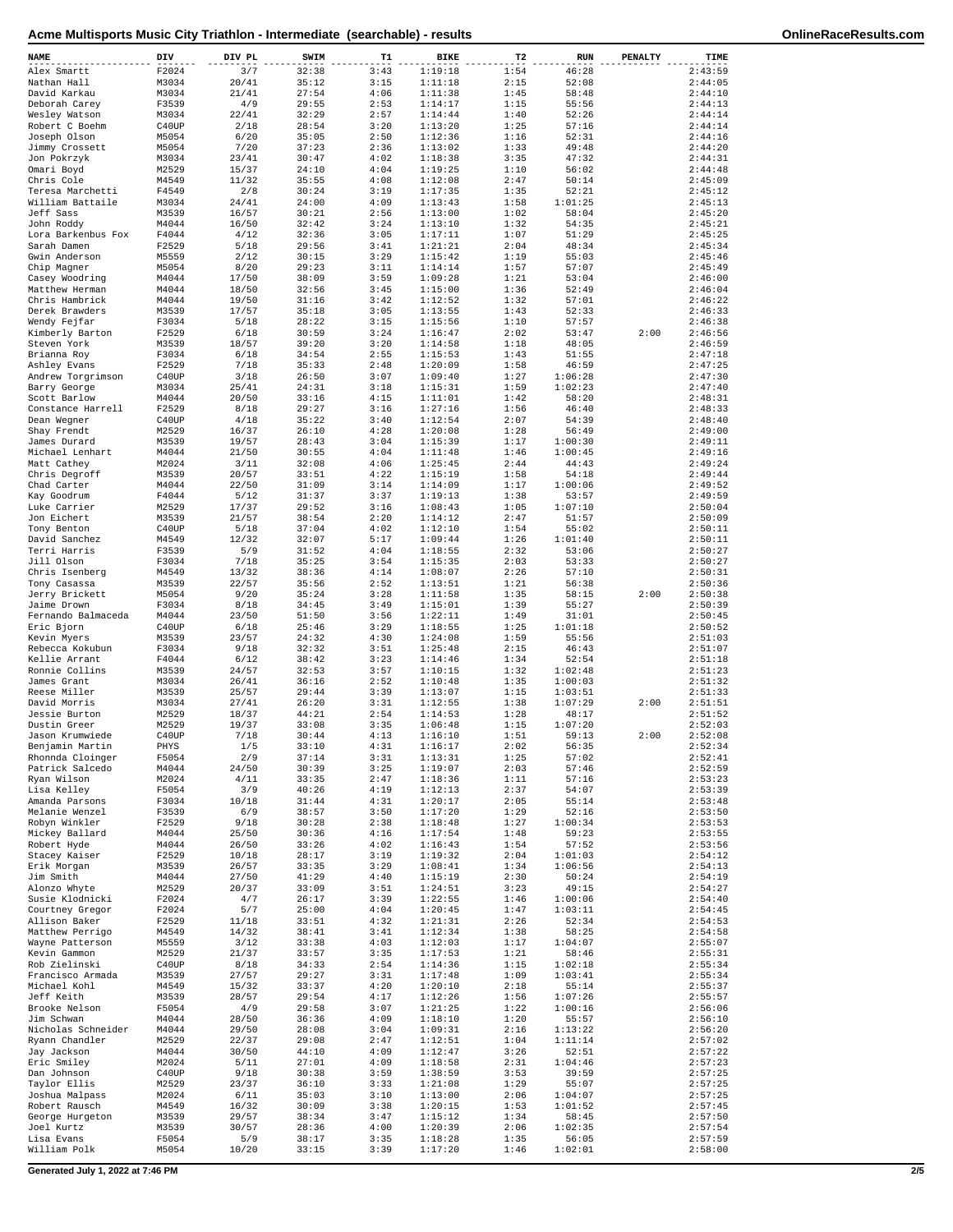| NAME                              | DIV            | DIV PL         | SWIM           | T1           | BIKE               | T2           | <b>RUN</b>         | PENALTY | TIME               |
|-----------------------------------|----------------|----------------|----------------|--------------|--------------------|--------------|--------------------|---------|--------------------|
| Alex Smartt                       | F2024          | 3/7            | 32:38          | 3:43         | 1:19:18            | 1:54         | 46:28              |         | 2:43:59            |
| Nathan Hall                       | M3034          | 20/41          | 35:12          | 3:15         | 1:11:18            | 2:15         | 52:08              |         | 2:44:05            |
| David Karkau<br>Deborah Carey     | M3034<br>F3539 | 21/41<br>4/9   | 27:54<br>29:55 | 4:06<br>2:53 | 1:11:38<br>1:14:17 | 1:45<br>1:15 | 58:48<br>55:56     |         | 2:44:10<br>2:44:13 |
| Wesley Watson                     | M3034          | 22/41          | 32:29          | 2:57         | 1:14:44            | 1:40         | 52:26              |         | 2:44:14            |
| Robert C Boehm                    | C40UP          | 2/18           | 28:54          | 3:20         | 1:13:20            | 1:25         | 57:16              |         | 2:44:14            |
| Joseph Olson                      | M5054          | 6/20           | 35:05          | 2:50         | 1:12:36            | 1:16         | 52:31              |         | 2:44:16            |
| Jimmy Crossett                    | M5054          | 7/20           | 37:23          | 2:36<br>4:02 | 1:13:02<br>1:18:38 | 1:33<br>3:35 | 49:48<br>47:32     |         | 2:44:20<br>2:44:31 |
| Jon Pokrzyk<br>Omari Boyd         | M3034<br>M2529 | 23/41<br>15/37 | 30:47<br>24:10 | 4:04         | 1:19:25            | 1:10         | 56:02              |         | 2:44:48            |
| Chris Cole                        | M4549          | 11/32          | 35:55          | 4:08         | 1:12:08            | 2:47         | 50:14              |         | 2:45:09            |
| Teresa Marchetti                  | F4549          | 2/8            | 30:24          | 3:19         | 1:17:35            | 1:35         | 52:21              |         | 2:45:12            |
| William Battaile                  | M3034          | 24/41          | 24:00          | 4:09         | 1:13:43            | 1:58         | 1:01:25            |         | 2:45:13            |
| Jeff Sass<br>John Roddy           | M3539<br>M4044 | 16/57<br>16/50 | 30:21<br>32:42 | 2:56<br>3:24 | 1:13:00<br>1:13:10 | 1:02<br>1:32 | 58:04<br>54:35     |         | 2:45:20<br>2:45:21 |
| Lora Barkenbus Fox                | F4044          | 4/12           | 32:36          | 3:05         | 1:17:11            | 1:07         | 51:29              |         | 2:45:25            |
| Sarah Damen                       | F2529          | 5/18           | 29:56          | 3:41         | 1:21:21            | 2:04         | 48:34              |         | 2:45:34            |
| Gwin Anderson                     | M5559          | 2/12           | 30:15          | 3:29         | 1:15:42            | 1:19         | 55:03              |         | 2:45:46            |
| Chip Magner                       | M5054          | 8/20           | 29:23          | 3:11         | 1:14:14            | 1:57         | 57:07              |         | 2:45:49            |
| Casey Woodring<br>Matthew Herman  | M4044<br>M4044 | 17/50<br>18/50 | 38:09<br>32:56 | 3:59<br>3:45 | 1:09:28<br>1:15:00 | 1:21<br>1:36 | 53:04<br>52:49     |         | 2:46:00<br>2:46:04 |
| Chris Hambrick                    | M4044          | 19/50          | 31:16          | 3:42         | 1:12:52            | 1:32         | 57:01              |         | 2:46:22            |
| Derek Brawders                    | M3539          | 17/57          | 35:18          | 3:05         | 1:13:55            | 1:43         | 52:33              |         | 2:46:33            |
| Wendy Fejfar                      | F3034          | 5/18           | 28:22          | 3:15         | 1:15:56            | 1:10         | 57:57              |         | 2:46:38            |
| Kimberly Barton<br>Steven York    | F2529<br>M3539 | 6/18<br>18/57  | 30:59<br>39:20 | 3:24<br>3:20 | 1:16:47<br>1:14:58 | 2:02<br>1:18 | 53:47<br>48:05     | 2:00    | 2:46:56<br>2:46:59 |
| Brianna Roy                       | F3034          | 6/18           | 34:54          | 2:55         | 1:15:53            | 1:43         | 51:55              |         | 2:47:18            |
| Ashley Evans                      | F2529          | 7/18           | 35:33          | 2:48         | 1:20:09            | 1:58         | 46:59              |         | 2:47:25            |
| Andrew Torgrimson                 | C40UP          | 3/18           | 26:50          | 3:07         | 1:09:40            | 1:27         | 1:06:28            |         | 2:47:30            |
| Barry George                      | M3034          | 25/41          | 24:31          | 3:18         | 1:15:31            | 1:59         | 1:02:23            |         | 2:47:40            |
| Scott Barlow<br>Constance Harrell | M4044<br>F2529 | 20/50<br>8/18  | 33:16<br>29:27 | 4:15<br>3:16 | 1:11:01<br>1:27:16 | 1:42<br>1:56 | 58:20<br>46:40     |         | 2:48:31<br>2:48:33 |
| Dean Wegner                       | C40UP          | 4/18           | 35:22          | 3:40         | 1:12:54            | 2:07         | 54:39              |         | 2:48:40            |
| Shay Frendt                       | M2529          | 16/37          | 26:10          | 4:28         | 1:20:08            | 1:28         | 56:49              |         | 2:49:00            |
| James Durard                      | M3539          | 19/57          | 28:43          | 3:04         | 1:15:39            | 1:17         | 1:00:30            |         | 2:49:11            |
| Michael Lenhart                   | M4044          | 21/50          | 30:55          | 4:04         | 1:11:48            | 1:46         | 1:00:45            |         | 2:49:16            |
| Matt Cathey                       | M2024<br>M3539 | 3/11<br>20/57  | 32:08<br>33:51 | 4:06<br>4:22 | 1:25:45<br>1:15:19 | 2:44<br>1:58 | 44:43<br>54:18     |         | 2:49:24<br>2:49:44 |
| Chris Degroff<br>Chad Carter      | M4044          | 22/50          | 31:09          | 3:14         | 1:14:09            | 1:17         | 1:00:06            |         | 2:49:52            |
| Kay Goodrum                       | F4044          | 5/12           | 31:37          | 3:37         | 1:19:13            | 1:38         | 53:57              |         | 2:49:59            |
| Luke Carrier                      | M2529          | 17/37          | 29:52          | 3:16         | 1:08:43            | 1:05         | 1:07:10            |         | 2:50:04            |
| Jon Eichert                       | M3539          | 21/57          | 38:54          | 2:20         | 1:14:12            | 2:47         | 51:57              |         | 2:50:09            |
| Tony Benton                       | C40UP          | 5/18           | 37:04<br>32:07 | 4:02<br>5:17 | 1:12:10<br>1:09:44 | 1:54         | 55:02<br>1:01:40   |         | 2:50:11<br>2:50:11 |
| David Sanchez<br>Terri Harris     | M4549<br>F3539 | 12/32<br>5/9   | 31:52          | 4:04         | 1:18:55            | 1:26<br>2:32 | 53:06              |         | 2:50:27            |
| Jill Olson                        | F3034          | 7/18           | 35:25          | 3:54         | 1:15:35            | 2:03         | 53:33              |         | 2:50:27            |
| Chris Isenberg                    | M4549          | 13/32          | 38:36          | 4:14         | 1:08:07            | 2:26         | 57:10              |         | 2:50:31            |
| Tony Casassa                      | M3539          | 22/57          | 35:56          | 2:52         | 1:13:51            | 1:21         | 56:38              |         | 2:50:36            |
| Jerry Brickett<br>Jaime Drown     | M5054          | 9/20           | 35:24<br>34:45 | 3:28<br>3:49 | 1:11:58            | 1:35<br>1:39 | 58:15              | 2:00    | 2:50:38<br>2:50:39 |
| Fernando Balmaceda                | F3034<br>M4044 | 8/18<br>23/50  | 51:50          | 3:56         | 1:15:01<br>1:22:11 | 1:49         | 55:27<br>31:01     |         | 2:50:45            |
| Eric Bjorn                        | C40UP          | 6/18           | 25:46          | 3:29         | 1:18:55            | 1:25         | 1:01:18            |         | 2:50:52            |
| Kevin Myers                       | M3539          | 23/57          | 24:32          | 4:30         | 1:24:08            | 1:59         | 55:56              |         | 2:51:03            |
| Rebecca Kokubun                   | F3034          | 9/18           | 32:32          | 3:51         | 1:25:48            | 2:15         | 46:43              |         | 2:51:07            |
| Kellie Arrant<br>Ronnie Collins   | F4044          | 6/12<br>24/57  | 38:42          | 3:23         | 1:14:46            | 1:34         | 52:54              |         | 2:51:18<br>2:51:23 |
| James Grant                       | M3539<br>M3034 | 26/41          | 32:53<br>36:16 | 3:57<br>2:52 | 1:10:15<br>1:10:48 | 1:32<br>1:35 | 1:02:48<br>1:00:03 |         | 2:51:32            |
| Reese Miller                      | M3539          | 25/57          | 29:44          | 3:39         | 1:13:07            | 1:15         | 1:03:51            |         | 2:51:33            |
| David Morris                      | M3034          | 27/41          | 26:20          | 3:31         | 1:12:55            | 1:38         | 1:07:29            | 2:00    | 2:51:51            |
| Jessie Burton                     | M2529          | 18/37          | 44:21          | 2:54         | 1:14:53            | 1:28         | 48:17              |         | 2:51:52            |
| Dustin Greer<br>Jason Krumwiede   | M2529<br>C40UP | 19/37<br>7/18  | 33:08<br>30:44 | 3:35<br>4:13 | 1:06:48<br>1:16:10 | 1:15<br>1:51 | 1:07:20<br>59:13   | 2:00    | 2:52:03<br>2:52:08 |
| Benjamin Martin                   | PHYS           | 1/5            | 33:10          | 4:31         | 1:16:17            | 2:02         | 56:35              |         | 2:52:34            |
| Rhonnda Cloinger                  | F5054          | 2/9            | 37:14          | 3:31         | 1:13:31            | 1:25         | 57:02              |         | 2:52:41            |
| Patrick Salcedo                   | M4044          | 24/50          | 30:39          | 3:25         | 1:19:07            | 2:03         | 57:46              |         | 2:52:59            |
| Ryan Wilson                       | M2024          | 4/11           | 33:35          | 2:47         | 1:18:36            | 1:11         | 57:16              |         | 2:53:23            |
| Lisa Kelley<br>Amanda Parsons     | F5054<br>F3034 | 3/9<br>10/18   | 40:26<br>31:44 | 4:19<br>4:31 | 1:12:13<br>1:20:17 | 2:37<br>2:05 | 54:07<br>55:14     |         | 2:53:39<br>2:53:48 |
| Melanie Wenzel                    | F3539          | 6/9            | 38:57          | 3:50         | 1:17:20            | 1:29         | 52:16              |         | 2:53:50            |
| Robyn Winkler                     | F2529          | 9/18           | 30:28          | 2:38         | 1:18:48            | 1:27         | 1:00:34            |         | 2:53:53            |
| Mickey Ballard                    | M4044          | 25/50          | 30:36          | 4:16         | 1:17:54            | 1:48         | 59:23              |         | 2:53:55            |
| Robert Hyde                       | M4044          | 26/50          | 33:26          | 4:02         | 1:16:43            | 1:54         | 57:52              |         | 2:53:56            |
| Stacey Kaiser<br>Erik Morgan      | F2529<br>M3539 | 10/18<br>26/57 | 28:17<br>33:35 | 3:19<br>3:29 | 1:19:32<br>1:08:41 | 2:04<br>1:34 | 1:01:03<br>1:06:56 |         | 2:54:12<br>2:54:13 |
| Jim Smith                         | M4044          | 27/50          | 41:29          | 4:40         | 1:15:19            | 2:30         | 50:24              |         | 2:54:19            |
| Alonzo Whyte                      | M2529          | 20/37          | 33:09          | 3:51         | 1:24:51            | 3:23         | 49:15              |         | 2:54:27            |
| Susie Klodnicki                   | F2024          | 4/7            | 26:17          | 3:39         | 1:22:55            | 1:46         | 1:00:06            |         | 2:54:40            |
| Courtney Gregor                   | F2024          | 5/7            | 25:00          | 4:04         | 1:20:45            | 1:47         | 1:03:11            |         | 2:54:45            |
| Allison Baker<br>Matthew Perrigo  | F2529<br>M4549 | 11/18<br>14/32 | 33:51<br>38:41 | 4:32<br>3:41 | 1:21:31<br>1:12:34 | 2:26<br>1:38 | 52:34<br>58:25     |         | 2:54:53<br>2:54:58 |
| Wayne Patterson                   | M5559          | 3/12           | 33:38          | 4:03         | 1:12:03            | 1:17         | 1:04:07            |         | 2:55:07            |
| Kevin Gammon                      | M2529          | 21/37          | 33:57          | 3:35         | 1:17:53            | 1:21         | 58:46              |         | 2:55:31            |
| Rob Zielinski                     | C40UP          | 8/18           | 34:33          | 2:54         | 1:14:36            | 1:15         | 1:02:18            |         | 2:55:34            |
| Francisco Armada<br>Michael Kohl  | M3539<br>M4549 | 27/57<br>15/32 | 29:27<br>33:37 | 3:31<br>4:20 | 1:17:48<br>1:20:10 | 1:09<br>2:18 | 1:03:41<br>55:14   |         | 2:55:34<br>2:55:37 |
| Jeff Keith                        | M3539          | 28/57          | 29:54          | 4:17         | 1:12:26            | 1:56         | 1:07:26            |         | 2:55:57            |
| Brooke Nelson                     | F5054          | 4/9            | 29:58          | 3:07         | 1:21:25            | 1:22         | 1:00:16            |         | 2:56:06            |
| Jim Schwan                        | M4044          | 28/50          | 36:36          | 4:09         | 1:18:10            | 1:20         | 55:57              |         | 2:56:10            |
| Nicholas Schneider                | M4044          | 29/50          | 28:08          | 3:04         | 1:09:31            | 2:16         | 1:13:22            |         | 2:56:20            |
| Ryann Chandler                    | M2529          | 22/37          | 29:08          | 2:47         | 1:12:51            | 1:04         | 1:11:14            |         | 2:57:02            |
| Jay Jackson<br>Eric Smiley        | M4044<br>M2024 | 30/50<br>5/11  | 44:10<br>27:01 | 4:09<br>4:09 | 1:12:47<br>1:18:58 | 3:26<br>2:31 | 52:51<br>1:04:46   |         | 2:57:22<br>2:57:23 |
| Dan Johnson                       | C40UP          | 9/18           | 30:38          | 3:59         | 1:38:59            | 3:53         | 39:59              |         | 2:57:25            |
| Taylor Ellis                      | M2529          | 23/37          | 36:10          | 3:33         | 1:21:08            | 1:29         | 55:07              |         | 2:57:25            |
| Joshua Malpass                    | M2024          | 6/11           | 35:03          | 3:10         | 1:13:00            | 2:06         | 1:04:07            |         | 2:57:25            |
| Robert Rausch                     | M4549          | 16/32<br>29/57 | 30:09<br>38:34 | 3:38<br>3:47 | 1:20:15<br>1:15:12 | 1:53<br>1:34 | 1:01:52<br>58:45   |         | 2:57:45<br>2:57:50 |
| George Hurgeton<br>Joel Kurtz     | M3539<br>M3539 | 30/57          | 28:36          | 4:00         | 1:20:39            | 2:06         | 1:02:35            |         | 2:57:54            |
| Lisa Evans                        | F5054          | 5/9            | 38:17          | 3:35         | 1:18:28            | 1:35         | 56:05              |         | 2:57:59            |
| William Polk                      | M5054          | 10/20          | 33:15          | 3:39         | 1:17:20            | 1:46         | 1:02:01            |         | 2:58:00            |

**Generated July 1, 2022 at 7:46 PM 2/5**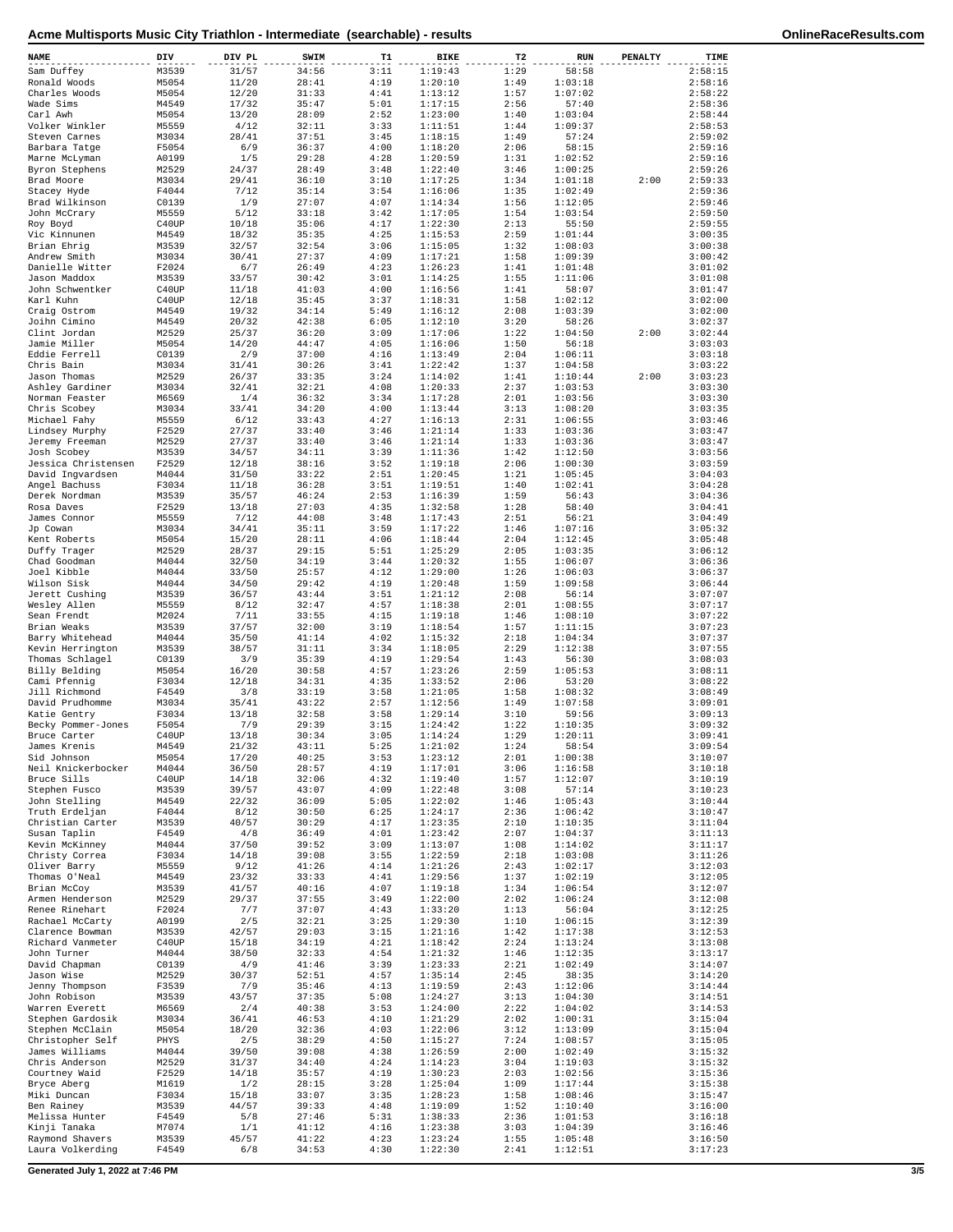| NAME                                | DIV            | DIV PL         | SWIM           | т1           | <b>BIKE</b>        | T2           | <b>RUN</b>         | <b>PENALTY</b> | TIME               |
|-------------------------------------|----------------|----------------|----------------|--------------|--------------------|--------------|--------------------|----------------|--------------------|
| Sam Duffey                          | M3539          | 31/57          | 34:56          | 3:11         | 1:19:43            | 1:29         | 58:58              |                | 2:58:15            |
| Ronald Woods<br>Charles Woods       | M5054<br>M5054 | 11/20<br>12/20 | 28:41<br>31:33 | 4:19<br>4:41 | 1:20:10<br>1:13:12 | 1:49<br>1:57 | 1:03:18<br>1:07:02 |                | 2:58:16<br>2:58:22 |
| Wade Sims                           | M4549          | 17/32          | 35:47          | 5:01         | 1:17:15            | 2:56         | 57:40              |                | 2:58:36            |
| Carl Awh                            | M5054          | 13/20          | 28:09          | 2:52         | 1:23:00            | 1:40         | 1:03:04            |                | 2:58:44            |
| Volker Winkler<br>Steven Carnes     | M5559<br>M3034 | 4/12<br>28/41  | 32:11<br>37:51 | 3:33<br>3:45 | 1:11:51<br>1:18:15 | 1:44<br>1:49 | 1:09:37<br>57:24   |                | 2:58:53<br>2:59:02 |
| Barbara Tatge                       | F5054          | 6/9            | 36:37          | 4:00         | 1:18:20            | 2:06         | 58:15              |                | 2:59:16            |
| Marne McLyman                       | A0199          | 1/5            | 29:28          | 4:28         | 1:20:59            | 1:31         | 1:02:52            |                | 2:59:16            |
| Byron Stephens                      | M2529          | 24/37          | 28:49          | 3:48         | 1:22:40            | 3:46         | 1:00:25            |                | 2:59:26            |
| Brad Moore<br>Stacey Hyde           | M3034<br>F4044 | 29/41<br>7/12  | 36:10<br>35:14 | 3:10<br>3:54 | 1:17:25<br>1:16:06 | 1:34<br>1:35 | 1:01:18<br>1:02:49 | 2:00           | 2:59:33<br>2:59:36 |
| Brad Wilkinson                      | C0139          | 1/9            | 27:07          | 4:07         | 1:14:34            | 1:56         | 1:12:05            |                | 2:59:46            |
| John McCrary                        | M5559          | 5/12           | 33:18          | 3:42         | 1:17:05            | 1:54         | 1:03:54            |                | 2:59:50            |
| Roy Boyd<br>Vic Kinnunen            | C40UP<br>M4549 | 10/18<br>18/32 | 35:06<br>35:35 | 4:17<br>4:25 | 1:22:30<br>1:15:53 | 2:13<br>2:59 | 55:50<br>1:01:44   |                | 2:59:55<br>3:00:35 |
| Brian Ehrig                         | M3539          | 32/57          | 32:54          | 3:06         | 1:15:05            | 1:32         | 1:08:03            |                | 3:00:38            |
| Andrew Smith                        | M3034          | 30/41          | 27:37          | 4:09         | 1:17:21            | 1:58         | 1:09:39            |                | 3:00:42            |
| Danielle Witter                     | F2024          | 6/7            | 26:49          | 4:23         | 1:26:23            | 1:41         | 1:01:48            |                | 3:01:02            |
| Jason Maddox<br>John Schwentker     | M3539<br>C40UP | 33/57<br>11/18 | 30:42<br>41:03 | 3:01<br>4:00 | 1:14:25<br>1:16:56 | 1:55<br>1:41 | 1:11:06<br>58:07   |                | 3:01:08<br>3:01:47 |
| Karl Kuhn                           | C40UP          | 12/18          | 35:45          | 3:37         | 1:18:31            | 1:58         | 1:02:12            |                | 3:02:00            |
| Craig Ostrom                        | M4549          | 19/32          | 34:14          | 5:49         | 1:16:12            | 2:08         | 1:03:39            |                | 3:02:00            |
| Joihn Cimino<br>Clint Jordan        | M4549<br>M2529 | 20/32<br>25/37 | 42:38<br>36:20 | 6:05<br>3:09 | 1:12:10<br>1:17:06 | 3:20<br>1:22 | 58:26<br>1:04:50   | 2:00           | 3:02:37<br>3:02:44 |
| Jamie Miller                        | M5054          | 14/20          | 44:47          | 4:05         | 1:16:06            | 1:50         | 56:18              |                | 3:03:03            |
| Eddie Ferrell                       | C0139          | 2/9            | 37:00          | 4:16         | 1:13:49            | 2:04         | 1:06:11            |                | 3:03:18            |
| Chris Bain                          | M3034          | 31/41          | 30:26          | 3:41         | 1:22:42            | 1:37         | 1:04:58            |                | 3:03:22            |
| Jason Thomas<br>Ashley Gardiner     | M2529<br>M3034 | 26/37<br>32/41 | 33:35<br>32:21 | 3:24<br>4:08 | 1:14:02<br>1:20:33 | 1:41<br>2:37 | 1:10:44<br>1:03:53 | 2:00           | 3:03:23<br>3:03:30 |
| Norman Feaster                      | M6569          | 1/4            | 36:32          | 3:34         | 1:17:28            | 2:01         | 1:03:56            |                | 3:03:30            |
| Chris Scobev                        | M3034          | 33/41          | 34:20          | 4:00         | 1:13:44            | 3:13         | 1:08:20            |                | 3:03:35            |
| Michael Fahy                        | M5559          | 6/12           | 33:43          | 4:27         | 1:16:13            | 2:31         | 1:06:55            |                | 3:03:46            |
| Lindsey Murphy<br>Jeremy Freeman    | F2529<br>M2529 | 27/37<br>27/37 | 33:40<br>33:40 | 3:46<br>3:46 | 1:21:14<br>1:21:14 | 1:33<br>1:33 | 1:03:36<br>1:03:36 |                | 3:03:47<br>3:03:47 |
| Josh Scobey                         | M3539          | 34/57          | 34:11          | 3:39         | 1:11:36            | 1:42         | 1:12:50            |                | 3:03:56            |
| Jessica Christensen                 | F2529          | 12/18          | 38:16          | 3:52         | 1:19:18            | 2:06         | 1:00:30            |                | 3:03:59            |
| David Ingvardsen                    | M4044          | 31/50          | 33:22          | 2:51         | 1:20:45            | 1:21         | 1:05:45            |                | 3:04:03            |
| Angel Bachuss<br>Derek Nordman      | F3034<br>M3539 | 11/18<br>35/57 | 36:28<br>46:24 | 3:51<br>2:53 | 1:19:51<br>1:16:39 | 1:40<br>1:59 | 1:02:41<br>56:43   |                | 3:04:28<br>3:04:36 |
| Rosa Daves                          | F2529          | 13/18          | 27:03          | 4:35         | 1:32:58            | 1:28         | 58:40              |                | 3:04:41            |
| James Connor                        | M5559          | 7/12           | 44:08          | 3:48         | 1:17:43            | 2:51         | 56:21              |                | 3:04:49            |
| Jp Cowan                            | M3034          | 34/41          | 35:11          | 3:59         | 1:17:22            | 1:46         | 1:07:16            |                | 3:05:32            |
| Kent Roberts                        | M5054          | 15/20          | 28:11<br>29:15 | 4:06<br>5:51 | 1:18:44<br>1:25:29 | 2:04<br>2:05 | 1:12:45            |                | 3:05:48<br>3:06:12 |
| Duffy Trager<br>Chad Goodman        | M2529<br>M4044 | 28/37<br>32/50 | 34:19          | 3:44         | 1:20:32            | 1:55         | 1:03:35<br>1:06:07 |                | 3:06:36            |
| Joel Kibble                         | M4044          | 33/50          | 25:57          | 4:12         | 1:29:00            | 1:26         | 1:06:03            |                | 3:06:37            |
| Wilson Sisk                         | M4044          | 34/50          | 29:42          | 4:19         | 1:20:48            | 1:59         | 1:09:58            |                | 3:06:44            |
| Jerett Cushing<br>Wesley Allen      | M3539<br>M5559 | 36/57<br>8/12  | 43:44<br>32:47 | 3:51<br>4:57 | 1:21:12<br>1:18:38 | 2:08<br>2:01 | 56:14<br>1:08:55   |                | 3:07:07<br>3:07:17 |
| Sean Frendt                         | M2024          | 7/11           | 33:55          | 4:15         | 1:19:18            | 1:46         | 1:08:10            |                | 3:07:22            |
| Brian Weaks                         | M3539          | 37/57          | 32:00          | 3:19         | 1:18:54            | 1:57         | 1:11:15            |                | 3:07:23            |
| Barry Whitehead                     | M4044          | 35/50          | 41:14          | 4:02         | 1:15:32            | 2:18         | 1:04:34            |                | 3:07:37            |
| Kevin Herrington<br>Thomas Schlagel | M3539<br>C0139 | 38/57<br>3/9   | 31:11<br>35:39 | 3:34<br>4:19 | 1:18:05<br>1:29:54 | 2:29<br>1:43 | 1:12:38<br>56:30   |                | 3:07:55<br>3:08:03 |
| Billy Belding                       | M5054          | 16/20          | 30:58          | 4:57         | 1:23:26            | 2:59         | 1:05:53            |                | 3:08:11            |
| Cami Pfennig                        | F3034          | 12/18          | 34:31          | 4:35         | 1:33:52            | 2:06         | 53:20              |                | 3:08:22            |
| Jill Richmond                       | F4549          | 3/8            | 33:19          | 3:58         | 1:21:05            | 1:58         | 1:08:32            |                | 3:08:49            |
| David Prudhomme<br>Katie Gentry     | M3034<br>F3034 | 35/41<br>13/18 | 43:22<br>32:58 | 2:57<br>3:58 | 1:12:56<br>1:29:14 | 1:49<br>3:10 | 1:07:58<br>59:56   |                | 3:09:01<br>3:09:13 |
| Becky Pommer-Jones                  | F5054          | 7/9            | 29:39          | 3:15         | 1:24:42            | 1:22         | 1:10:35            |                | 3:09:32            |
| Bruce Carter                        | C40UP          | 13/18          | 30:34          | 3:05         | 1:14:24            | 1:29         | 1:20:11            |                | 3:09:41            |
| James Krenis                        | M4549          | 21/32          | 43:11          | 5:25<br>3:53 | 1:21:02<br>1:23:12 | 1:24<br>2:01 | 58:54              |                | 3:09:54            |
| Sid Johnson<br>Neil Knickerbocker   | M5054<br>M4044 | 17/20<br>36/50 | 40:25<br>28:57 | 4:19         | 1:17:01            | 3:06         | 1:00:38<br>1:16:58 |                | 3:10:07<br>3:10:18 |
| Bruce Sills                         | C40UP          | 14/18          | 32:06          | 4:32         | 1:19:40            | 1:57         | 1:12:07            |                | 3:10:19            |
| Stephen Fusco                       | M3539          | 39/57          | 43:07          | 4:09         | 1:22:48            | 3:08         | 57:14              |                | 3:10:23            |
| John Stelling<br>Truth Erdeljan     | M4549          | 22/32          | 36:09          | 5:05<br>6:25 | 1:22:02<br>1:24:17 | 1:46<br>2:36 | 1:05:43<br>1:06:42 |                | 3:10:44<br>3:10:47 |
| Christian Carter                    | F4044<br>M3539 | 8/12<br>40/57  | 30:50<br>30:29 | 4:17         | 1:23:35            | 2:10         | 1:10:35            |                | 3:11:04            |
| Susan Taplin                        | F4549          | 4/8            | 36:49          | 4:01         | 1:23:42            | 2:07         | 1:04:37            |                | 3:11:13            |
| Kevin McKinney                      | M4044          | 37/50          | 39:52          | 3:09         | 1:13:07            | 1:08         | 1:14:02            |                | 3:11:17            |
| Christy Correa<br>Oliver Barry      | F3034<br>M5559 | 14/18<br>9/12  | 39:08<br>41:26 | 3:55<br>4:14 | 1:22:59<br>1:21:26 | 2:18<br>2:43 | 1:03:08<br>1:02:17 |                | 3:11:26<br>3:12:03 |
| Thomas O'Neal                       | M4549          | 23/32          | 33:33          | 4:41         | 1:29:56            | 1:37         | 1:02:19            |                | 3:12:05            |
| Brian McCoy                         | M3539          | 41/57          | 40:16          | 4:07         | 1:19:18            | 1:34         | 1:06:54            |                | 3:12:07            |
| Armen Henderson                     | M2529          | 29/37          | 37:55          | 3:49         | 1:22:00            | 2:02         | 1:06:24            |                | 3:12:08            |
| Renee Rinehart<br>Rachael McCarty   | F2024<br>A0199 | 7/7<br>2/5     | 37:07<br>32:21 | 4:43<br>3:25 | 1:33:20<br>1:29:30 | 1:13<br>1:10 | 56:04<br>1:06:15   |                | 3:12:25<br>3:12:39 |
| Clarence Bowman                     | M3539          | 42/57          | 29:03          | 3:15         | 1:21:16            | 1:42         | 1:17:38            |                | 3:12:53            |
| Richard Vanmeter                    | C40UP          | 15/18          | 34:19          | 4:21         | 1:18:42            | 2:24         | 1:13:24            |                | 3:13:08            |
| John Turner                         | M4044          | 38/50          | 32:33          | 4:54         | 1:21:32            | 1:46         | 1:12:35            |                | 3:13:17            |
| David Chapman<br>Jason Wise         | C0139<br>M2529 | 4/9<br>30/37   | 41:46<br>52:51 | 3:39<br>4:57 | 1:23:33<br>1:35:14 | 2:21<br>2:45 | 1:02:49<br>38:35   |                | 3:14:07<br>3:14:20 |
| Jenny Thompson                      | F3539          | 7/9            | 35:46          | 4:13         | 1:19:59            | 2:43         | 1:12:06            |                | 3:14:44            |
| John Robison                        | M3539          | 43/57          | 37:35          | 5:08         | 1:24:27            | 3:13         | 1:04:30            |                | 3:14:51            |
| Warren Everett                      | M6569          | 2/4            | 40:38          | 3:53         | 1:24:00            | 2:22<br>2:02 | 1:04:02            |                | 3:14:53<br>3:15:04 |
| Stephen Gardosik<br>Stephen McClain | M3034<br>M5054 | 36/41<br>18/20 | 46:53<br>32:36 | 4:10<br>4:03 | 1:21:29<br>1:22:06 | 3:12         | 1:00:31<br>1:13:09 |                | 3:15:04            |
| Christopher Self                    | PHYS           | 2/5            | 38:29          | 4:50         | 1:15:27            | 7:24         | 1:08:57            |                | 3:15:05            |
| James Williams                      | M4044          | 39/50          | 39:08          | 4:38         | 1:26:59            | 2:00         | 1:02:49            |                | 3:15:32            |
| Chris Anderson<br>Courtney Waid     | M2529<br>F2529 | 31/37<br>14/18 | 34:40<br>35:57 | 4:24<br>4:19 | 1:14:23<br>1:30:23 | 3:04<br>2:03 | 1:19:03<br>1:02:56 |                | 3:15:32<br>3:15:36 |
| Bryce Aberg                         | M1619          | 1/2            | 28:15          | 3:28         | 1:25:04            | 1:09         | 1:17:44            |                | 3:15:38            |
| Miki Duncan                         | F3034          | 15/18          | 33:07          | 3:35         | 1:28:23            | 1:58         | 1:08:46            |                | 3:15:47            |
| Ben Rainey                          | M3539          | 44/57          | 39:33          | 4:48         | 1:19:09            | 1:52         | 1:10:40            |                | 3:16:00            |
| Melissa Hunter<br>Kinji Tanaka      | F4549<br>M7074 | 5/8<br>1/1     | 27:46<br>41:12 | 5:31<br>4:16 | 1:38:33<br>1:23:38 | 2:36<br>3:03 | 1:01:53<br>1:04:39 |                | 3:16:18<br>3:16:46 |
| Raymond Shavers                     | M3539          | 45/57          | 41:22          | 4:23         | 1:23:24            | 1:55         | 1:05:48            |                | 3:16:50            |
| Laura Volkerding                    | F4549          | 6/8            | 34:53          | 4:30         | 1:22:30            | 2:41         | 1:12:51            |                | 3:17:23            |

**Generated July 1, 2022 at 7:46 PM 3/5**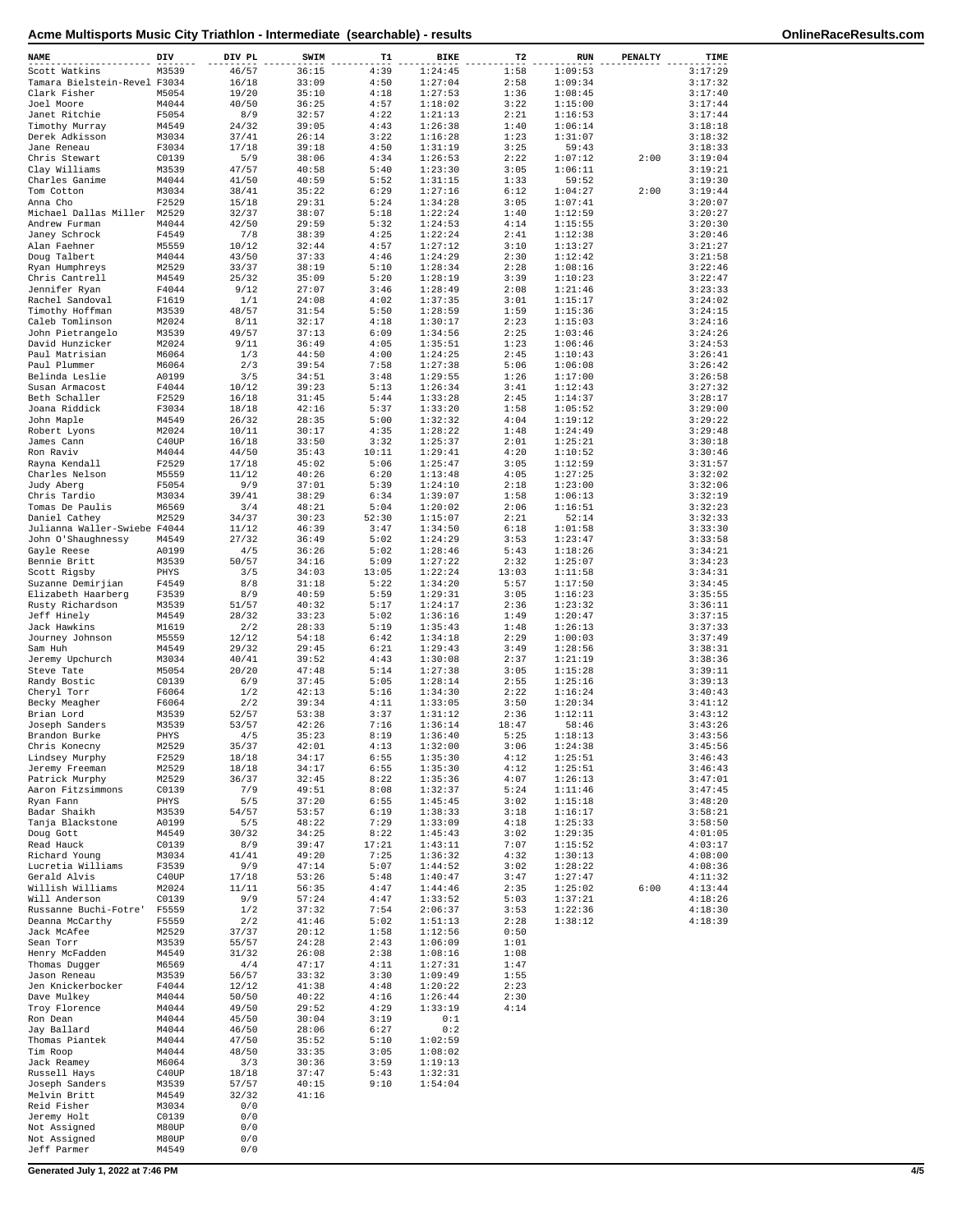| NAME                                          | DIV            | DIV PL         | SWIM           | T1            | BIKE               | T2           | RUN                | PENALTY | TIME               |
|-----------------------------------------------|----------------|----------------|----------------|---------------|--------------------|--------------|--------------------|---------|--------------------|
| Scott Watkins                                 | M3539          | 46/57          | 36:15          | 4:39          | 1:24:45            | 1:58         | 1:09:53            |         | 3:17:29            |
| Tamara Bielstein-Revel F3034                  |                | 16/18          | 33:09          | 4:50          | 1:27:04            | 2:58         | 1:09:34            |         | 3:17:32            |
| Clark Fisher                                  | M5054          | 19/20          | 35:10          | 4:18          | 1:27:53            | 1:36         | 1:08:45            |         | 3:17:40            |
| Joel Moore                                    | M4044          | 40/50          | 36:25          | 4:57          | 1:18:02            | 3:22         | 1:15:00            |         | 3:17:44            |
| Janet Ritchie                                 | F5054          | 8/9            | 32:57          | 4:22          | 1:21:13            | 2:21         | 1:16:53            |         | 3:17:44            |
| Timothy Murray                                | M4549          | 24/32          | 39:05<br>26:14 | 4:43<br>3:22  | 1:26:38<br>1:16:28 | 1:40<br>1:23 | 1:06:14<br>1:31:07 |         | 3:18:18<br>3:18:32 |
| Derek Adkisson<br>Jane Reneau                 | M3034<br>F3034 | 37/41<br>17/18 | 39:18          | 4:50          | 1:31:19            | 3:25         | 59:43              |         | 3:18:33            |
| Chris Stewart                                 | C0139          | 5/9            | 38:06          | 4:34          | 1:26:53            | 2:22         | 1:07:12            | 2:00    | 3:19:04            |
| Clay Williams                                 | M3539          | 47/57          | 40:58          | 5:40          | 1:23:30            | 3:05         | 1:06:11            |         | 3:19:21            |
| Charles Ganime                                | M4044          | 41/50          | 40:59          | 5:52          | 1:31:15            | 1:33         | 59:52              |         | 3:19:30            |
| Tom Cotton                                    | M3034          | 38/41          | 35:22          | 6:29          | 1:27:16            | 6:12         | 1:04:27            | 2:00    | 3:19:44            |
| Anna Cho                                      | F2529          | 15/18          | 29:31          | 5:24          | 1:34:28            | 3:05         | 1:07:41            |         | 3:20:07            |
| Michael Dallas Miller M2529                   |                | 32/37          | 38:07          | 5:18          | 1:22:24            | 1:40         | 1:12:59            |         | 3:20:27            |
| Andrew Furman                                 | M4044          | 42/50          | 29:59          | 5:32          | 1:24:53            | 4:14         | 1:15:55            |         | 3:20:30            |
| Janey Schrock<br>Alan Faehner                 | F4549<br>M5559 | 7/8<br>10/12   | 38:39<br>32:44 | 4:25<br>4:57  | 1:22:24<br>1:27:12 | 2:41<br>3:10 | 1:12:38<br>1:13:27 |         | 3:20:46<br>3:21:27 |
| Doug Talbert                                  | M4044          | 43/50          | 37:33          | 4:46          | 1:24:29            | 2:30         | 1:12:42            |         | 3:21:58            |
| Ryan Humphreys                                | M2529          | 33/37          | 38:19          | 5:10          | 1:28:34            | 2:28         | 1:08:16            |         | 3:22:46            |
| Chris Cantrell                                | M4549          | 25/32          | 35:09          | 5:20          | 1:28:19            | 3:39         | 1:10:23            |         | 3:22:47            |
| Jennifer Ryan                                 | F4044          | 9/12           | 27:07          | 3:46          | 1:28:49            | 2:08         | 1:21:46            |         | 3:23:33            |
| Rachel Sandoval                               | F1619          | 1/1            | 24:08          | 4:02          | 1:37:35            | 3:01         | 1:15:17            |         | 3:24:02            |
| Timothy Hoffman                               | M3539          | 48/57          | 31:54          | 5:50          | 1:28:59            | 1:59         | 1:15:36            |         | 3:24:15            |
| Caleb Tomlinson<br>John Pietrangelo           | M2024<br>M3539 | 8/11<br>49/57  | 32:17<br>37:13 | 4:18<br>6:09  | 1:30:17<br>1:34:56 | 2:23<br>2:25 | 1:15:03<br>1:03:46 |         | 3:24:16<br>3:24:26 |
| David Hunzicker                               | M2024          | 9/11           | 36:49          | 4:05          | 1:35:51            | 1:23         | 1:06:46            |         | 3:24:53            |
| Paul Matrisian                                | M6064          | 1/3            | 44:50          | 4:00          | 1:24:25            | 2:45         | 1:10:43            |         | 3:26:41            |
| Paul Plummer                                  | M6064          | 2/3            | 39:54          | 7:58          | 1:27:38            | 5:06         | 1:06:08            |         | 3:26:42            |
| Belinda Leslie                                | A0199          | 3/5            | 34:51          | 3:48          | 1:29:55            | 1:26         | 1:17:00            |         | 3:26:58            |
| Susan Armacost                                | F4044          | 10/12          | 39:23          | 5:13          | 1:26:34            | 3:41         | 1:12:43            |         | 3:27:32            |
| Beth Schaller                                 | F2529          | 16/18          | 31:45          | 5:44          | 1:33:28            | 2:45         | 1:14:37            |         | 3:28:17            |
| Joana Riddick                                 | F3034          | 18/18          | 42:16          | 5:37          | 1:33:20            | 1:58         | 1:05:52            |         | 3:29:00            |
| John Maple<br>Robert Lyons                    | M4549<br>M2024 | 26/32<br>10/11 | 28:35<br>30:17 | 5:00<br>4:35  | 1:32:32<br>1:28:22 | 4:04<br>1:48 | 1:19:12<br>1:24:49 |         | 3:29:22<br>3:29:48 |
| James Cann                                    | C40UP          | 16/18          | 33:50          | 3:32          | 1:25:37            | 2:01         | 1:25:21            |         | 3:30:18            |
| Ron Raviv                                     | M4044          | 44/50          | 35:43          | 10:11         | 1:29:41            | 4:20         | 1:10:52            |         | 3:30:46            |
| Rayna Kendall                                 | F2529          | 17/18          | 45:02          | 5:06          | 1:25:47            | 3:05         | 1:12:59            |         | 3:31:57            |
| Charles Nelson                                | M5559          | 11/12          | 40:26          | 6:20          | 1:13:48            | 4:05         | 1:27:25            |         | 3:32:02            |
| Judy Aberg                                    | F5054          | 9/9            | 37:01          | 5:39          | 1:24:10            | 2:18         | 1:23:00            |         | 3:32:06            |
| Chris Tardio                                  | M3034          | 39/41          | 38:29          | 6:34          | 1:39:07            | 1:58         | 1:06:13            |         | 3:32:19            |
| Tomas De Paulis                               | M6569<br>M2529 | 3/4            | 48:21<br>30:23 | 5:04<br>52:30 | 1:20:02            | 2:06<br>2:21 | 1:16:51<br>52:14   |         | 3:32:23<br>3:32:33 |
| Daniel Cathey<br>Julianna Waller-Swiebe F4044 |                | 34/37<br>11/12 | 46:39          | 3:47          | 1:15:07<br>1:34:50 | 6:18         | 1:01:58            |         | 3:33:30            |
| John 0'Shaughnessy                            | M4549          | 27/32          | 36:49          | 5:02          | 1:24:29            | 3:53         | 1:23:47            |         | 3:33:58            |
| Gayle Reese                                   | A0199          | 4/5            | 36:26          | 5:02          | 1:28:46            | 5:43         | 1:18:26            |         | 3:34:21            |
| Bennie Britt                                  | M3539          | 50/57          | 34:16          | 5:09          | 1:27:22            | 2:32         | 1:25:07            |         | 3:34:23            |
| Scott Rigsby                                  | PHYS           | 3/5            | 34:03          | 13:05         | 1:22:24            | 13:03        | 1:11:58            |         | 3:34:31            |
| Suzanne Demirjian                             | F4549          | 8/8            | 31:18          | 5:22          | 1:34:20            | 5:57         | 1:17:50            |         | 3:34:45            |
| Elizabeth Haarberg                            | F3539<br>M3539 | 8/9<br>51/57   | 40:59<br>40:32 | 5:59<br>5:17  | 1:29:31<br>1:24:17 | 3:05<br>2:36 | 1:16:23<br>1:23:32 |         | 3:35:55<br>3:36:11 |
| Rusty Richardson<br>Jeff Hinely               | M4549          | 28/32          | 33:23          | 5:02          | 1:36:16            | 1:49         | 1:20:47            |         | 3:37:15            |
| Jack Hawkins                                  | M1619          | 2/2            | 28:33          | 5:19          | 1:35:43            | 1:48         | 1:26:13            |         | 3:37:33            |
| Journey Johnson                               | M5559          | 12/12          | 54:18          | 6:42          | 1:34:18            | 2:29         | 1:00:03            |         | 3:37:49            |
| Sam Huh                                       | M4549          | 29/32          | 29:45          | 6:21          | 1:29:43            | 3:49         | 1:28:56            |         | 3:38:31            |
| Jeremy Upchurch                               | M3034          | 40/41          | 39:52          | 4:43          | 1:30:08            | 2:37         | 1:21:19            |         | 3:38:36            |
| Steve Tate                                    | M5054          | 20/20          | 47:48          | 5:14          | 1:27:38            | 3:05         | 1:15:28            |         | 3:39:11            |
| Randy Bostic                                  | C0139          | 6/9            | 37:45          | 5:05          | 1:28:14            | 2:55         | 1:25:16            |         | 3:39:13            |
| Cheryl Torr                                   | F6064<br>F6064 | 1/2<br>2/2     | 42:13<br>39:34 | 5:16<br>4:11  | 1:34:30<br>1:33:05 | 2:22<br>3:50 | 1:16:24<br>1:20:34 |         | 3:40:43<br>3:41:12 |
| Becky Meagher<br>Brian Lord                   | M3539          | 52/57          | 53:38          | 3:37          | 1:31:12            | 2:36         | 1:12:11            |         | 3:43:12            |
| Joseph Sanders                                | M3539          | 53/57          | 42:26          | 7:16          | 1:36:14            | 18:47        | 58:46              |         | 3:43:26            |
| Brandon Burke                                 | PHYS           | 4/5            | 35:23          | 8:19          | 1:36:40            | 5:25         | 1:18:13            |         | 3:43:56            |
| Chris Konecny                                 | M2529          | 35/37          | 42:01          | 4:13          | 1:32:00            | 3:06         | 1:24:38            |         | 3:45:56            |
| Lindsey Murphy                                | F2529          | 18/18          | 34:17          | 6:55          | 1:35:30            | 4:12         | 1:25:51            |         | 3:46:43            |
| Jeremy Freeman                                | M2529          | 18/18          | 34:17          | 6:55          | 1:35:30            | 4:12         | 1:25:51            |         | 3:46:43            |
| Patrick Murphy                                | M2529<br>C0139 | 36/37<br>7/9   | 32:45<br>49:51 | 8:22<br>8:08  | 1:35:36<br>1:32:37 | 4:07<br>5:24 | 1:26:13<br>1:11:46 |         | 3:47:01<br>3:47:45 |
| Aaron Fitzsimmons<br>Ryan Fann                | PHYS           | 5/5            | 37:20          | 6:55          | 1:45:45            | 3:02         | 1:15:18            |         | 3:48:20            |
| Badar Shaikh                                  | M3539          | 54/57          | 53:57          | 6:19          | 1:38:33            | 3:18         | 1:16:17            |         | 3:58:21            |
| Tanja Blackstone                              | A0199          | 5/5            | 48:22          | 7:29          | 1:33:09            | 4:18         | 1:25:33            |         | 3:58:50            |
| Doug Gott                                     | M4549          | 30/32          | 34:25          | 8:22          | 1:45:43            | 3:02         | 1:29:35            |         | 4:01:05            |
| Read Hauck                                    | C0139          | 8/9            | 39:47          | 17:21         | 1:43:11            | 7:07         | 1:15:52            |         | 4:03:17            |
| Richard Young<br>Lucretia Williams            | M3034<br>F3539 | 41/41<br>9/9   | 49:20<br>47:14 | 7:25<br>5:07  | 1:36:32<br>1:44:52 | 4:32<br>3:02 | 1:30:13<br>1:28:22 |         | 4:08:00<br>4:08:36 |
| Gerald Alvis                                  | C40UP          | 17/18          | 53:26          | 5:48          | 1:40:47            | 3:47         | 1:27:47            |         | 4:11:32            |
| Willish Williams                              | M2024          | 11/11          | 56:35          | 4:47          | 1:44:46            | 2:35         | 1:25:02            | 6:00    | 4:13:44            |
| Will Anderson                                 | C0139          | 9/9            | 57:24          | 4:47          | 1:33:52            | 5:03         | 1:37:21            |         | 4:18:26            |
| Russanne Buchi-Fotre'                         | F5559          | 1/2            | 37:32          | 7:54          | 2:06:37            | 3:53         | 1:22:36            |         | 4:18:30            |
| Deanna McCarthy                               | F5559          | 2/2            | 41:46          | 5:02          | 1:51:13            | 2:28         | 1:38:12            |         | 4:18:39            |
| Jack McAfee                                   | M2529          | 37/37          | 20:12          | 1:58          | 1:12:56            | 0:50         |                    |         |                    |
| Sean Torr<br>Henry McFadden                   | M3539<br>M4549 | 55/57<br>31/32 | 24:28<br>26:08 | 2:43<br>2:38  | 1:06:09<br>1:08:16 | 1:01<br>1:08 |                    |         |                    |
| Thomas Dugger                                 | M6569          | 4/4            | 47:17          | 4:11          | 1:27:31            | 1:47         |                    |         |                    |
| Jason Reneau                                  | M3539          | 56/57          | 33:32          | 3:30          | 1:09:49            | 1:55         |                    |         |                    |
| Jen Knickerbocker                             | F4044          | 12/12          | 41:38          | 4:48          | 1:20:22            | 2:23         |                    |         |                    |
| Dave Mulkey                                   | M4044          | 50/50          | 40:22          | 4:16          | 1:26:44            | 2:30         |                    |         |                    |
| Troy Florence                                 | M4044          | 49/50          | 29:52          | 4:29          | 1:33:19            | 4:14         |                    |         |                    |
| Ron Dean                                      | M4044          | 45/50          | 30:04          | 3:19          | 0:1                |              |                    |         |                    |
| Jay Ballard                                   | M4044          | 46/50          | 28:06          | 6:27          | 0:2                |              |                    |         |                    |
| Thomas Piantek<br>Tim Roop                    | M4044<br>M4044 | 47/50<br>48/50 | 35:52<br>33:35 | 5:10<br>3:05  | 1:02:59<br>1:08:02 |              |                    |         |                    |
| Jack Reamey                                   | M6064          | 3/3            | 30:36          | 3:59          | 1:19:13            |              |                    |         |                    |
| Russell Hays                                  | C40UP          | 18/18          | 37:47          | 5:43          | 1:32:31            |              |                    |         |                    |
| Joseph Sanders                                | M3539          | 57/57          | 40:15          | 9:10          | 1:54:04            |              |                    |         |                    |
| Melvin Britt                                  | M4549          | 32/32          | 41:16          |               |                    |              |                    |         |                    |
| Reid Fisher                                   | M3034          | 0/0            |                |               |                    |              |                    |         |                    |
| Jeremy Holt                                   | C0139          | 0/0            |                |               |                    |              |                    |         |                    |
| Not Assigned<br>Not Assigned                  | M80UP<br>M80UP | 0/0<br>0/0     |                |               |                    |              |                    |         |                    |
| Jeff Parmer                                   | M4549          | 0/0            |                |               |                    |              |                    |         |                    |